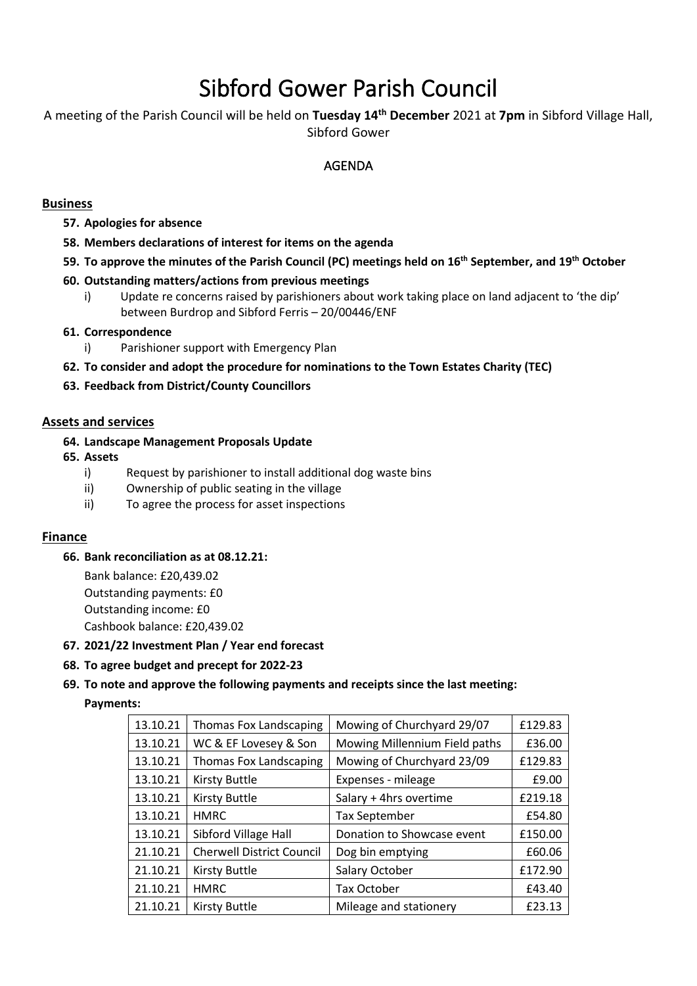# Sibford Gower Parish Council

A meeting of the Parish Council will be held on **Tuesday 14 th December** 2021 at **7pm** in Sibford Village Hall, Sibford Gower

# AGENDA

## **Business**

- **57. Apologies for absence**
- **58. Members declarations of interest for items on the agenda**
- **59. To approve the minutes of the Parish Council (PC) meetings held on 16th September, and 19th October**

#### **60. Outstanding matters/actions from previous meetings**

i)Update re concerns raised by parishioners about work taking place on land adjacent to 'the dip' between Burdrop and Sibford Ferris – 20/00446/ENF

## **61. Correspondence**

- i) Parishioner support with Emergency Plan
- **62. To consider and adopt the procedure for nominations to the Town Estates Charity (TEC)**
- **63. Feedback from District/County Councillors**

## **Assets and services**

- **64. Landscape Management Proposals Update**
- **65. Assets**
	- i) Request by parishioner to install additional dog waste bins
	- ii) Ownership of public seating in the village
	- ii) To agree the process for asset inspections

# **Finance**

# **66. Bank reconciliation as at 08.12.21:**

Bank balance: £20,439.02 Outstanding payments: £0 Outstanding income: £0 Cashbook balance: £20,439.02

#### **67. 2021/22 Investment Plan / Year end forecast**

# **68. To agree budget and precept for 2022-23**

# **69. To note and approve the following payments and receipts since the last meeting:**

#### **Payments:**

| 13.10.21 | <b>Thomas Fox Landscaping</b>    | Mowing of Churchyard 29/07    | £129.83 |
|----------|----------------------------------|-------------------------------|---------|
| 13.10.21 | WC & EF Lovesey & Son            | Mowing Millennium Field paths | £36.00  |
| 13.10.21 | <b>Thomas Fox Landscaping</b>    | Mowing of Churchyard 23/09    | £129.83 |
| 13.10.21 | <b>Kirsty Buttle</b>             | Expenses - mileage            | £9.00   |
| 13.10.21 | <b>Kirsty Buttle</b>             | Salary + 4hrs overtime        | £219.18 |
| 13.10.21 | <b>HMRC</b>                      | <b>Tax September</b>          | £54.80  |
| 13.10.21 | Sibford Village Hall             | Donation to Showcase event    | £150.00 |
| 21.10.21 | <b>Cherwell District Council</b> | Dog bin emptying              | £60.06  |
| 21.10.21 | <b>Kirsty Buttle</b>             | Salary October                | £172.90 |
| 21.10.21 | <b>HMRC</b>                      | Tax October                   | £43.40  |
| 21.10.21 | <b>Kirsty Buttle</b>             | Mileage and stationery        | £23.13  |